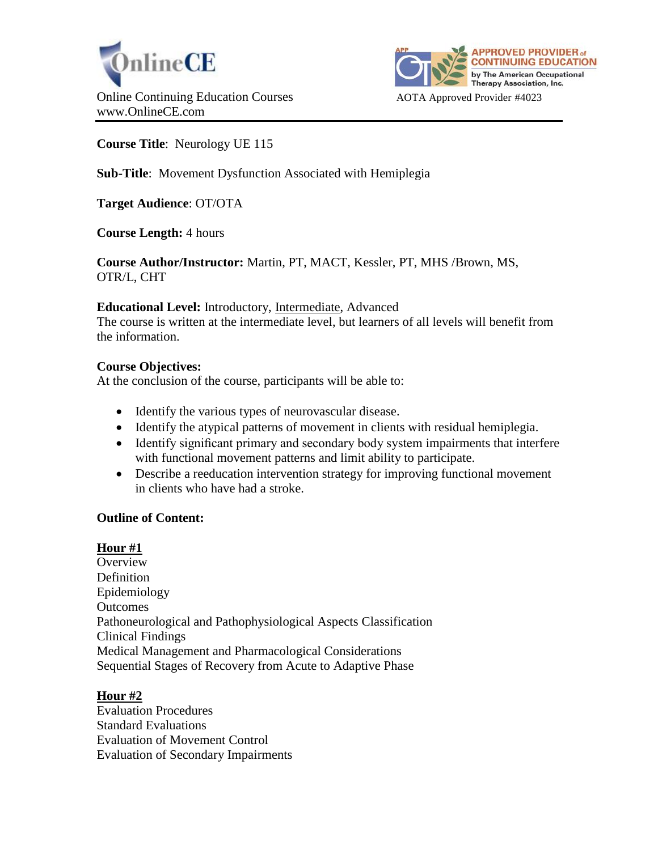



# **Course Title**: Neurology UE 115

# **Sub-Title**: Movement Dysfunction Associated with Hemiplegia

**Target Audience**: OT/OTA

**Course Length:** 4 hours

**Course Author/Instructor:** Martin, PT, MACT, Kessler, PT, MHS /Brown, MS, OTR/L, CHT

### **Educational Level:** Introductory, Intermediate, Advanced

The course is written at the intermediate level, but learners of all levels will benefit from the information.

### **Course Objectives:**

At the conclusion of the course, participants will be able to:

- Identify the various types of neurovascular disease.
- Identify the atypical patterns of movement in clients with residual hemiplegia.
- Identify significant primary and secondary body system impairments that interfere with functional movement patterns and limit ability to participate.
- Describe a reeducation intervention strategy for improving functional movement in clients who have had a stroke.

### **Outline of Content:**

## **Hour #1**

**Overview Definition** Epidemiology **Outcomes** Pathoneurological and Pathophysiological Aspects Classification Clinical Findings Medical Management and Pharmacological Considerations Sequential Stages of Recovery from Acute to Adaptive Phase

### **Hour #2**

Evaluation Procedures Standard Evaluations Evaluation of Movement Control Evaluation of Secondary Impairments